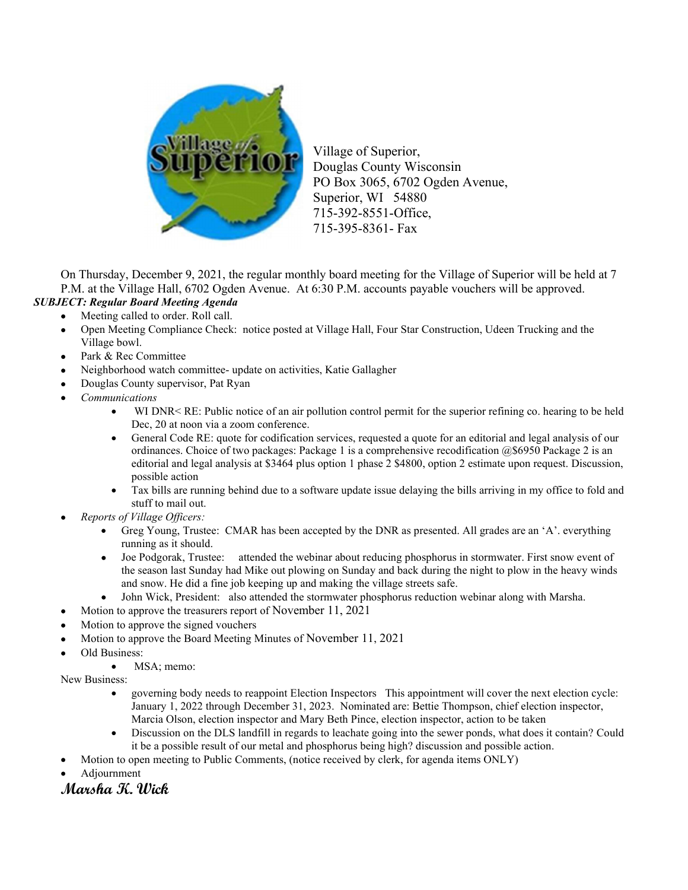

Village of Superior, Douglas County Wisconsin PO Box 3065, 6702 Ogden Avenue, Superior, WI 54880 715-392-8551-Office, 715-395-8361- Fax

On Thursday, December 9, 2021, the regular monthly board meeting for the Village of Superior will be held at 7 P.M. at the Village Hall, 6702 Ogden Avenue. At 6:30 P.M. accounts payable vouchers will be approved. SUBJECT: Regular Board Meeting Agenda

- Meeting called to order. Roll call.
	- Open Meeting Compliance Check: notice posted at Village Hall, Four Star Construction, Udeen Trucking and the Village bowl.
	- Park & Rec Committee
	- Neighborhood watch committee- update on activities, Katie Gallagher
	- Douglas County supervisor, Pat Ryan
	- Communications
		- WI DNR< RE: Public notice of an air pollution control permit for the superior refining co. hearing to be held Dec, 20 at noon via a zoom conference.
		- General Code RE: quote for codification services, requested a quote for an editorial and legal analysis of our ordinances. Choice of two packages: Package 1 is a comprehensive recodification @\$6950 Package 2 is an editorial and legal analysis at \$3464 plus option 1 phase 2 \$4800, option 2 estimate upon request. Discussion, possible action
		- Tax bills are running behind due to a software update issue delaying the bills arriving in my office to fold and stuff to mail out.
- Reports of Village Officers:
	- Greg Young, Trustee: CMAR has been accepted by the DNR as presented. All grades are an 'A'. everything running as it should.
	- Joe Podgorak, Trustee: attended the webinar about reducing phosphorus in stormwater. First snow event of the season last Sunday had Mike out plowing on Sunday and back during the night to plow in the heavy winds and snow. He did a fine job keeping up and making the village streets safe.
	- John Wick, President: also attended the stormwater phosphorus reduction webinar along with Marsha.
- Motion to approve the treasurers report of November 11, 2021
- Motion to approve the signed vouchers
- Motion to approve the Board Meeting Minutes of November 11, 2021
- Old Business:
	- MSA; memo:

New Business:

- governing body needs to reappoint Election Inspectors This appointment will cover the next election cycle: January 1, 2022 through December 31, 2023. Nominated are: Bettie Thompson, chief election inspector, Marcia Olson, election inspector and Mary Beth Pince, election inspector, action to be taken
- Discussion on the DLS landfill in regards to leachate going into the sewer ponds, what does it contain? Could it be a possible result of our metal and phosphorus being high? discussion and possible action.
- Motion to open meeting to Public Comments, (notice received by clerk, for agenda items ONLY)
- Adjournment

Marsha K. Wick